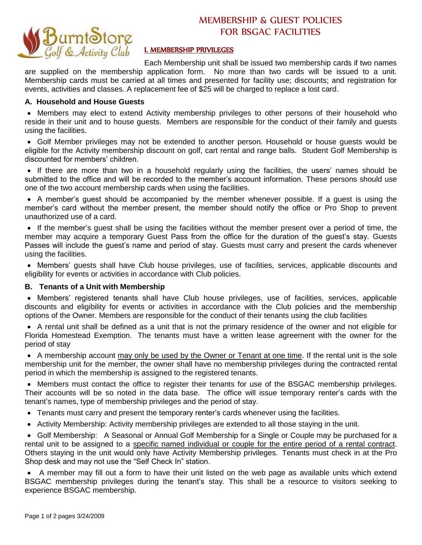

# MEMBERSHIP & GUEST POLICIES FOR BSGAC FACILITIES

## I. MEMBERSHIP PRIVILEGES

Each Membership unit shall be issued two membership cards if two names are supplied on the membership application form. No more than two cards will be issued to a unit. Membership cards must be carried at all times and presented for facility use; discounts; and registration for events, activities and classes. A replacement fee of \$25 will be charged to replace a lost card.

## **A. Household and House Guests**

 Members may elect to extend Activity membership privileges to other persons of their household who reside in their unit and to house guests. Members are responsible for the conduct of their family and guests using the facilities.

 Golf Member privileges may not be extended to another person. Household or house guests would be eligible for the Activity membership discount on golf, cart rental and range balls. Student Golf Membership is discounted for members' children.

 If there are more than two in a household regularly using the facilities, the users' names should be submitted to the office and will be recorded to the member's account information. These persons should use one of the two account membership cards when using the facilities.

 A member's guest should be accompanied by the member whenever possible. If a guest is using the member's card without the member present, the member should notify the office or Pro Shop to prevent unauthorized use of a card.

 If the member's guest shall be using the facilities without the member present over a period of time, the member may acquire a temporary Guest Pass from the office for the duration of the guest's stay. Guests Passes will include the guest's name and period of stay. Guests must carry and present the cards whenever using the facilities.

 Members' guests shall have Club house privileges, use of facilities, services, applicable discounts and eligibility for events or activities in accordance with Club policies.

## **B. Tenants of a Unit with Membership**

 Members' registered tenants shall have Club house privileges, use of facilities, services, applicable discounts and eligibility for events or activities in accordance with the Club policies and the membership options of the Owner. Members are responsible for the conduct of their tenants using the club facilities

 A rental unit shall be defined as a unit that is not the primary residence of the owner and not eligible for Florida Homestead Exemption. The tenants must have a written lease agreement with the owner for the period of stay

 A membership account may only be used by the Owner or Tenant at one time. If the rental unit is the sole membership unit for the member, the owner shall have no membership privileges during the contracted rental period in which the membership is assigned to the registered tenants.

 Members must contact the office to register their tenants for use of the BSGAC membership privileges. Their accounts will be so noted in the data base. The office will issue temporary renter's cards with the tenant's names, type of membership privileges and the period of stay.

- Tenants must carry and present the temporary renter's cards whenever using the facilities.
- Activity Membership: Activity membership privileges are extended to all those staying in the unit.

 Golf Membership: A Seasonal or Annual Golf Membership for a Single or Couple may be purchased for a rental unit to be assigned to a specific named individual or couple for the entire period of a rental contract. Others staying in the unit would only have Activity Membership privileges. Tenants must check in at the Pro Shop desk and may not use the "Self Check In" station.

 A member may fill out a form to have their unit listed on the web page as available units which extend BSGAC membership privileges during the tenant's stay. This shall be a resource to visitors seeking to experience BSGAC membership.